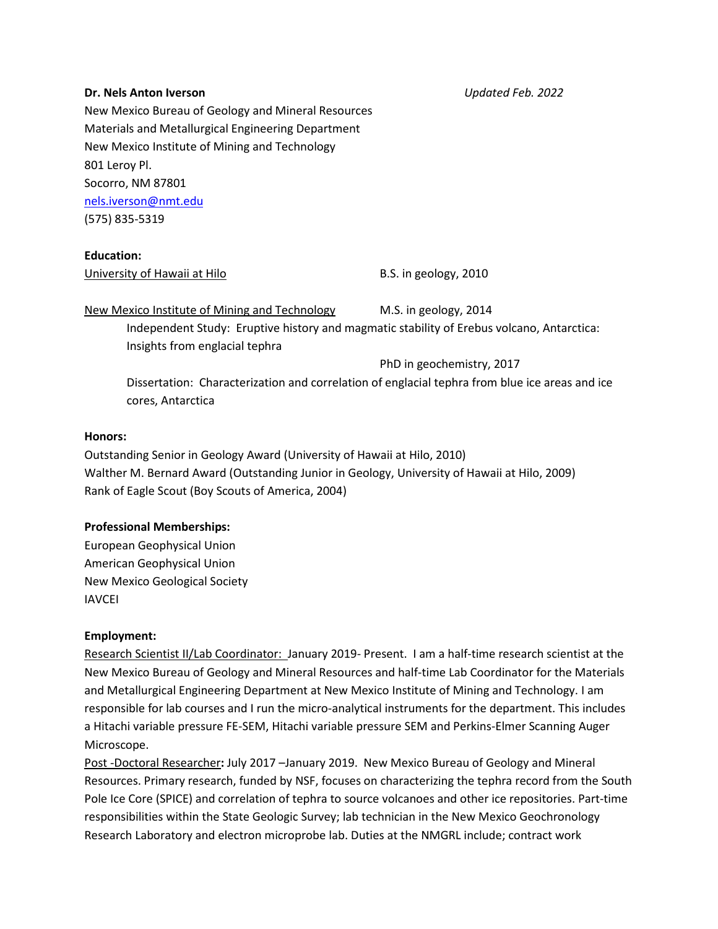#### **Dr. Nels Anton Iverson** *Updated Feb. 2022*

New Mexico Bureau of Geology and Mineral Resources Materials and Metallurgical Engineering Department New Mexico Institute of Mining and Technology 801 Leroy Pl. Socorro, NM 87801 [nels.iverson@nmt.edu](mailto:nels.iverson@nmt.edu) (575) 835-5319

**Education:**

University of Hawaii at Hilo B.S. in geology, 2010

New Mexico Institute of Mining and Technology M.S. in geology, 2014 Independent Study: Eruptive history and magmatic stability of Erebus volcano, Antarctica: Insights from englacial tephra

PhD in geochemistry, 2017

Dissertation: Characterization and correlation of englacial tephra from blue ice areas and ice cores, Antarctica

#### **Honors:**

Outstanding Senior in Geology Award (University of Hawaii at Hilo, 2010) Walther M. Bernard Award (Outstanding Junior in Geology, University of Hawaii at Hilo, 2009) Rank of Eagle Scout (Boy Scouts of America, 2004)

# **Professional Memberships:**

European Geophysical Union American Geophysical Union New Mexico Geological Society IAVCEI

# **Employment:**

Research Scientist II/Lab Coordinator: January 2019- Present. I am a half-time research scientist at the New Mexico Bureau of Geology and Mineral Resources and half-time Lab Coordinator for the Materials and Metallurgical Engineering Department at New Mexico Institute of Mining and Technology. I am responsible for lab courses and I run the micro-analytical instruments for the department. This includes a Hitachi variable pressure FE-SEM, Hitachi variable pressure SEM and Perkins-Elmer Scanning Auger Microscope.

Post -Doctoral Researcher**:** July 2017 –January 2019. New Mexico Bureau of Geology and Mineral Resources. Primary research, funded by NSF, focuses on characterizing the tephra record from the South Pole Ice Core (SPICE) and correlation of tephra to source volcanoes and other ice repositories. Part-time responsibilities within the State Geologic Survey; lab technician in the New Mexico Geochronology Research Laboratory and electron microprobe lab. Duties at the NMGRL include; contract work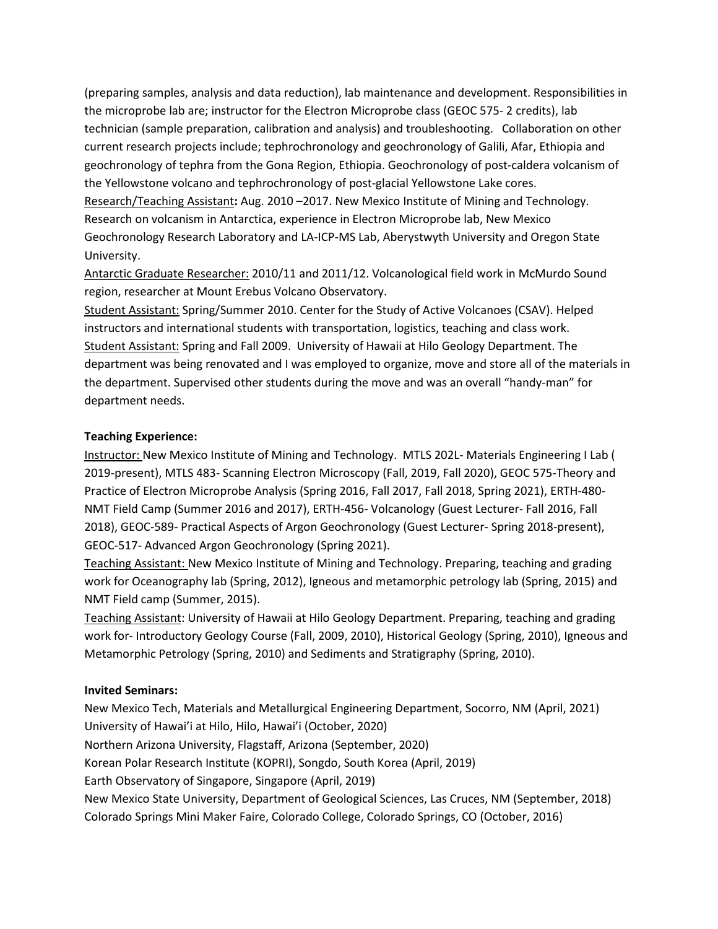(preparing samples, analysis and data reduction), lab maintenance and development. Responsibilities in the microprobe lab are; instructor for the Electron Microprobe class (GEOC 575- 2 credits), lab technician (sample preparation, calibration and analysis) and troubleshooting. Collaboration on other current research projects include; tephrochronology and geochronology of Galili, Afar, Ethiopia and geochronology of tephra from the Gona Region, Ethiopia. Geochronology of post-caldera volcanism of the Yellowstone volcano and tephrochronology of post-glacial Yellowstone Lake cores. Research/Teaching Assistant**:** Aug. 2010 –2017. New Mexico Institute of Mining and Technology*.* Research on volcanism in Antarctica, experience in Electron Microprobe lab, New Mexico Geochronology Research Laboratory and LA-ICP-MS Lab, Aberystwyth University and Oregon State University.

Antarctic Graduate Researcher: 2010/11 and 2011/12. Volcanological field work in McMurdo Sound region, researcher at Mount Erebus Volcano Observatory.

Student Assistant: Spring/Summer 2010. Center for the Study of Active Volcanoes (CSAV). Helped instructors and international students with transportation, logistics, teaching and class work. Student Assistant: Spring and Fall 2009. University of Hawaii at Hilo Geology Department. The department was being renovated and I was employed to organize, move and store all of the materials in the department. Supervised other students during the move and was an overall "handy-man" for department needs.

# **Teaching Experience:**

Instructor: New Mexico Institute of Mining and Technology. MTLS 202L- Materials Engineering I Lab ( 2019-present), MTLS 483- Scanning Electron Microscopy (Fall, 2019, Fall 2020), GEOC 575-Theory and Practice of Electron Microprobe Analysis (Spring 2016, Fall 2017, Fall 2018, Spring 2021), ERTH-480- NMT Field Camp (Summer 2016 and 2017), ERTH-456- Volcanology (Guest Lecturer- Fall 2016, Fall 2018), GEOC-589- Practical Aspects of Argon Geochronology (Guest Lecturer- Spring 2018-present), GEOC-517- Advanced Argon Geochronology (Spring 2021).

Teaching Assistant: New Mexico Institute of Mining and Technology. Preparing, teaching and grading work for Oceanography lab (Spring, 2012), Igneous and metamorphic petrology lab (Spring, 2015) and NMT Field camp (Summer, 2015).

Teaching Assistant: University of Hawaii at Hilo Geology Department. Preparing, teaching and grading work for- Introductory Geology Course (Fall, 2009, 2010), Historical Geology (Spring, 2010), Igneous and Metamorphic Petrology (Spring, 2010) and Sediments and Stratigraphy (Spring, 2010).

# **Invited Seminars:**

New Mexico Tech, Materials and Metallurgical Engineering Department, Socorro, NM (April, 2021) University of Hawai'i at Hilo, Hilo, Hawai'i (October, 2020) Northern Arizona University, Flagstaff, Arizona (September, 2020) Korean Polar Research Institute (KOPRI), Songdo, South Korea (April, 2019) Earth Observatory of Singapore, Singapore (April, 2019) New Mexico State University, Department of Geological Sciences, Las Cruces, NM (September, 2018) Colorado Springs Mini Maker Faire, Colorado College, Colorado Springs, CO (October, 2016)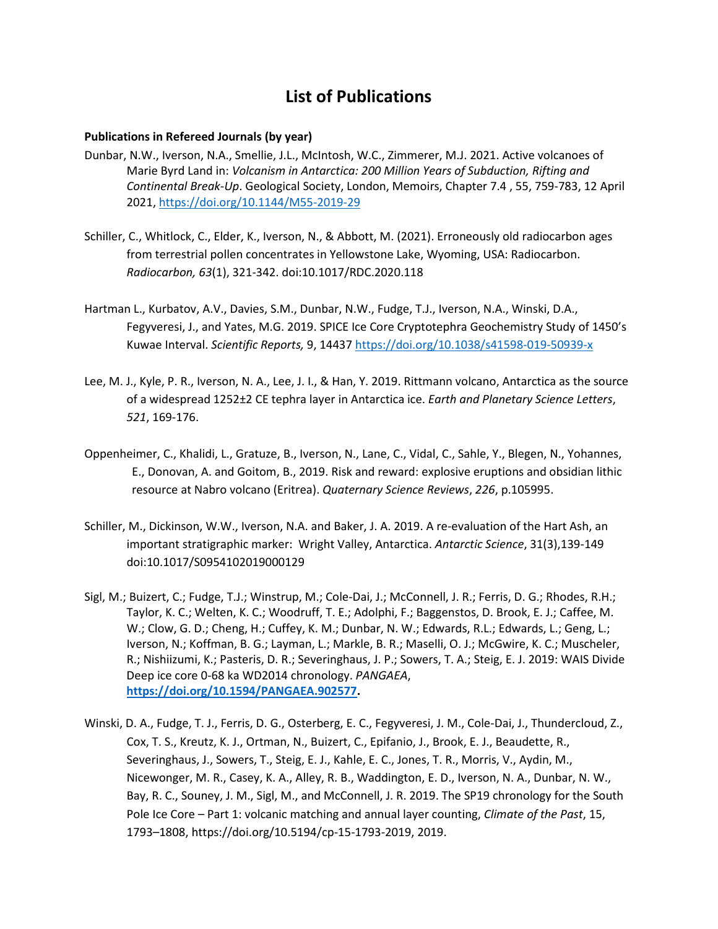# **List of Publications**

#### **Publications in Refereed Journals (by year)**

- Dunbar, N.W., Iverson, N.A., Smellie, J.L., McIntosh, W.C., Zimmerer, M.J. 2021. Active volcanoes of Marie Byrd Land in: *Volcanism in Antarctica: 200 Million Years of Subduction, Rifting and Continental Break-Up*. Geological Society, London, Memoirs, Chapter 7.4 , 55, 759-783, 12 April 2021[, https://doi.org/10.1144/M55-2019-29](https://doi.org/10.1144/M55-2019-29)
- Schiller, C., Whitlock, C., Elder, K., Iverson, N., & Abbott, M. (2021). Erroneously old radiocarbon ages from terrestrial pollen concentrates in Yellowstone Lake, Wyoming, USA: Radiocarbon. *Radiocarbon, 63*(1), 321-342. doi:10.1017/RDC.2020.118
- Hartman L., Kurbatov, A.V., Davies, S.M., Dunbar, N.W., Fudge, T.J., Iverson, N.A., Winski, D.A., Fegyveresi, J., and Yates, M.G. 2019. SPICE Ice Core Cryptotephra Geochemistry Study of 1450's Kuwae Interval. *Scientific Reports,* 9, 14437<https://doi.org/10.1038/s41598-019-50939-x>
- Lee, M. J., Kyle, P. R., Iverson, N. A., Lee, J. I., & Han, Y. 2019. Rittmann volcano, Antarctica as the source of a widespread 1252±2 CE tephra layer in Antarctica ice. *Earth and Planetary Science Letters*, *521*, 169-176.
- Oppenheimer, C., Khalidi, L., Gratuze, B., Iverson, N., Lane, C., Vidal, C., Sahle, Y., Blegen, N., Yohannes, E., Donovan, A. and Goitom, B., 2019. Risk and reward: explosive eruptions and obsidian lithic resource at Nabro volcano (Eritrea). *Quaternary Science Reviews*, *226*, p.105995.
- Schiller, M., Dickinson, W.W., Iverson, N.A. and Baker, J. A. 2019. A re-evaluation of the Hart Ash, an important stratigraphic marker: Wright Valley, Antarctica. *Antarctic Science*, 31(3),139-149 doi:10.1017/S0954102019000129
- Sigl, M.; Buizert, C.; Fudge, T.J.; Winstrup, M.; Cole-Dai, J.; McConnell, J. R.; Ferris, D. G.; Rhodes, R.H.; Taylor, K. C.; Welten, K. C.; Woodruff, T. E.; Adolphi, F.; Baggenstos, D. Brook, E. J.; Caffee, M. W.; Clow, G. D.; Cheng, H.; Cuffey, K. M.; Dunbar, N. W.; Edwards, R.L.; Edwards, L.; Geng, L.; Iverson, N.; Koffman, B. G.; Layman, L.; Markle, B. R.; Maselli, O. J.; McGwire, K. C.; Muscheler, R.; Nishiizumi, K.; Pasteris, D. R.; Severinghaus, J. P.; Sowers, T. A.; Steig, E. J. 2019: WAIS Divide Deep ice core 0-68 ka WD2014 chronology. *PANGAEA*, **[https://doi.org/10.1594/PANGAEA.902577.](https://doi.org/10.1594/PANGAEA.902577)**
- Winski, D. A., Fudge, T. J., Ferris, D. G., Osterberg, E. C., Fegyveresi, J. M., Cole-Dai, J., Thundercloud, Z., Cox, T. S., Kreutz, K. J., Ortman, N., Buizert, C., Epifanio, J., Brook, E. J., Beaudette, R., Severinghaus, J., Sowers, T., Steig, E. J., Kahle, E. C., Jones, T. R., Morris, V., Aydin, M., Nicewonger, M. R., Casey, K. A., Alley, R. B., Waddington, E. D., Iverson, N. A., Dunbar, N. W., Bay, R. C., Souney, J. M., Sigl, M., and McConnell, J. R. 2019. The SP19 chronology for the South Pole Ice Core – Part 1: volcanic matching and annual layer counting, *Climate of the Past*, 15, 1793–1808, https://doi.org/10.5194/cp-15-1793-2019, 2019.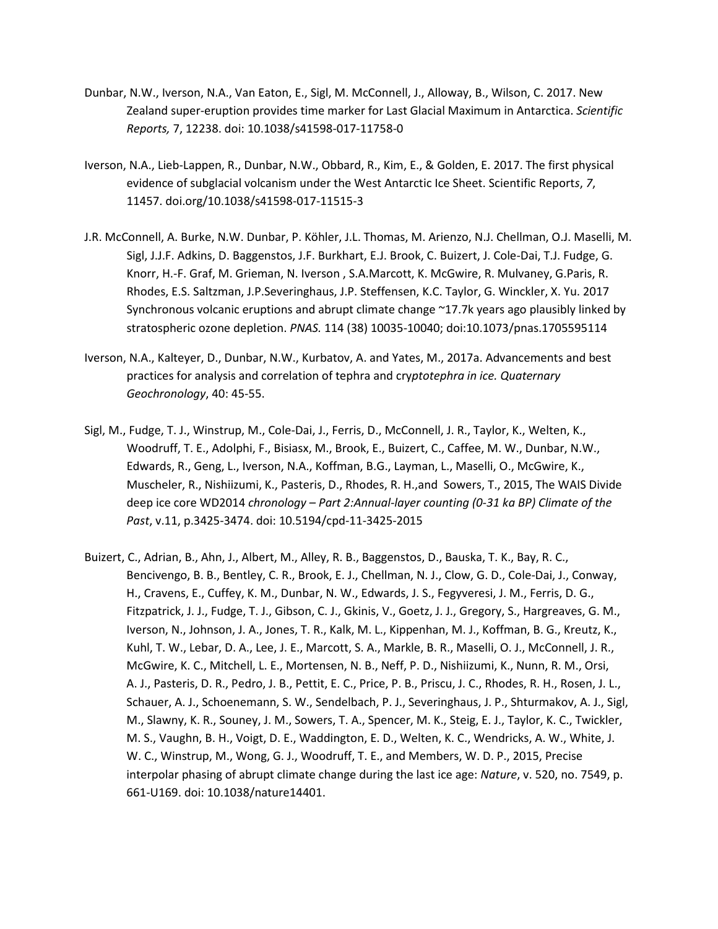- Dunbar, N.W., Iverson, N.A., Van Eaton, E., Sigl, M. McConnell, J., Alloway, B., Wilson, C. 2017. New Zealand super-eruption provides time marker for Last Glacial Maximum in Antarctica. *Scientific Reports,* 7, 12238. doi: 10.1038/s41598-017-11758-0
- Iverson, N.A., Lieb-Lappen, R., Dunbar, N.W., Obbard, R., Kim, E., & Golden, E. 2017. The first physical evidence of subglacial volcanism under the West Antarctic Ice Sheet. Scientific Report*s*, *7*, 11457. doi.org/10.1038/s41598-017-11515-3
- J.R. McConnell, A. Burke, N.W. Dunbar, P. Köhler, J.L. Thomas, M. Arienzo, N.J. Chellman, O.J. Maselli, M. Sigl, J.J.F. Adkins, D. Baggenstos, J.F. Burkhart, E.J. Brook, C. Buizert, J. Cole-Dai, T.J. Fudge, G. Knorr, H.-F. Graf, M. Grieman, N. Iverson , S.A.Marcott, K. McGwire, R. Mulvaney, G.Paris, R. Rhodes, E.S. Saltzman, J.P.Severinghaus, J.P. Steffensen, K.C. Taylor, G. Winckler, X. Yu. 2017 Synchronous volcanic eruptions and abrupt climate change ~17.7k years ago plausibly linked by stratospheric ozone depletion. *PNAS.* 114 (38) 10035-10040; doi:10.1073/pnas.1705595114
- Iverson, N.A., Kalteyer, D., Dunbar, N.W., Kurbatov, A. and Yates, M., 2017a. Advancements and best practices for analysis and correlation of tephra and cry*ptotephra in ice. Quaternary Geochronology*, 40: 45-55.
- Sigl, M., Fudge, T. J., Winstrup, M., Cole-Dai, J., Ferris, D., McConnell, J. R., Taylor, K., Welten, K., Woodruff, T. E., Adolphi, F., Bisiasx, M., Brook, E., Buizert, C., Caffee, M. W., Dunbar, N.W., Edwards, R., Geng, L., Iverson, N.A., Koffman, B.G., Layman, L., Maselli, O., McGwire, K., Muscheler, R., Nishiizumi, K., Pasteris, D., Rhodes, R. H.,and Sowers, T., 2015, The WAIS Divide deep ice core WD2014 *chronology – Part 2:Annual-layer counting (0-31 ka BP) Climate of the Past*, v.11, p.3425-3474. doi: 10.5194/cpd-11-3425-2015
- Buizert, C., Adrian, B., Ahn, J., Albert, M., Alley, R. B., Baggenstos, D., Bauska, T. K., Bay, R. C., Bencivengo, B. B., Bentley, C. R., Brook, E. J., Chellman, N. J., Clow, G. D., Cole-Dai, J., Conway, H., Cravens, E., Cuffey, K. M., Dunbar, N. W., Edwards, J. S., Fegyveresi, J. M., Ferris, D. G., Fitzpatrick, J. J., Fudge, T. J., Gibson, C. J., Gkinis, V., Goetz, J. J., Gregory, S., Hargreaves, G. M., Iverson, N., Johnson, J. A., Jones, T. R., Kalk, M. L., Kippenhan, M. J., Koffman, B. G., Kreutz, K., Kuhl, T. W., Lebar, D. A., Lee, J. E., Marcott, S. A., Markle, B. R., Maselli, O. J., McConnell, J. R., McGwire, K. C., Mitchell, L. E., Mortensen, N. B., Neff, P. D., Nishiizumi, K., Nunn, R. M., Orsi, A. J., Pasteris, D. R., Pedro, J. B., Pettit, E. C., Price, P. B., Priscu, J. C., Rhodes, R. H., Rosen, J. L., Schauer, A. J., Schoenemann, S. W., Sendelbach, P. J., Severinghaus, J. P., Shturmakov, A. J., Sigl, M., Slawny, K. R., Souney, J. M., Sowers, T. A., Spencer, M. K., Steig, E. J., Taylor, K. C., Twickler, M. S., Vaughn, B. H., Voigt, D. E., Waddington, E. D., Welten, K. C., Wendricks, A. W., White, J. W. C., Winstrup, M., Wong, G. J., Woodruff, T. E., and Members, W. D. P., 2015, Precise interpolar phasing of abrupt climate change during the last ice age: *Nature*, v. 520, no. 7549, p. 661-U169. doi: 10.1038/nature14401.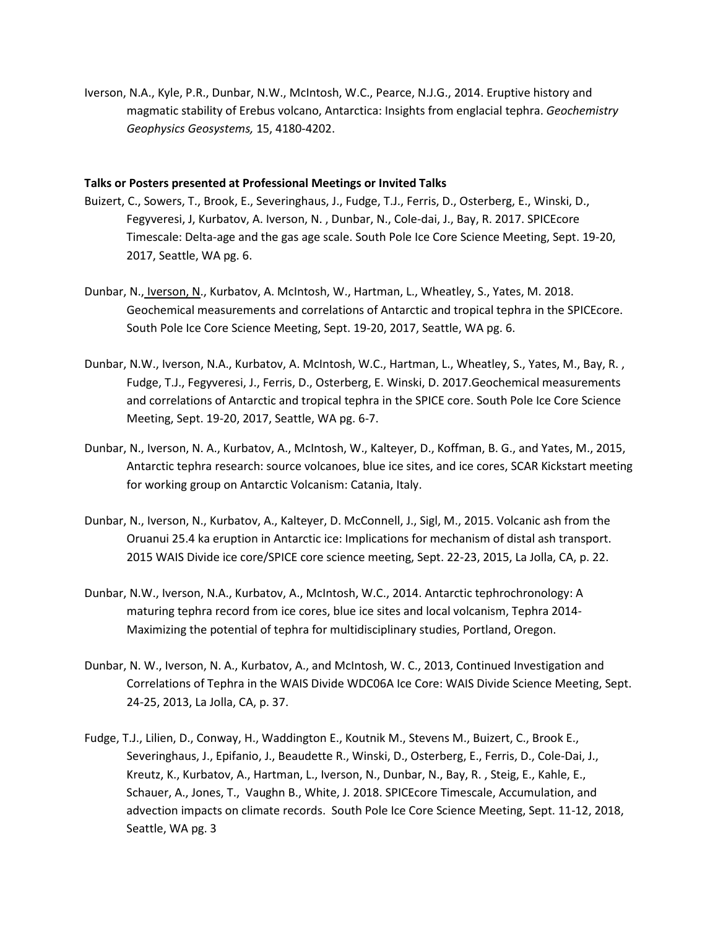Iverson, N.A., Kyle, P.R., Dunbar, N.W., McIntosh, W.C., Pearce, N.J.G., 2014. Eruptive history and magmatic stability of Erebus volcano, Antarctica: Insights from englacial tephra. *Geochemistry Geophysics Geosystems,* 15, 4180-4202.

#### **Talks or Posters presented at Professional Meetings or Invited Talks**

- Buizert, C., Sowers, T., Brook, E., Severinghaus, J., Fudge, T.J., Ferris, D., Osterberg, E., Winski, D., Fegyveresi, J, Kurbatov, A. Iverson, N. , Dunbar, N., Cole-dai, J., Bay, R. 2017. SPICEcore Timescale: Delta-age and the gas age scale. South Pole Ice Core Science Meeting, Sept. 19-20, 2017, Seattle, WA pg. 6.
- Dunbar, N., Iverson, N., Kurbatov, A. McIntosh, W., Hartman, L., Wheatley, S., Yates, M. 2018. Geochemical measurements and correlations of Antarctic and tropical tephra in the SPICEcore. South Pole Ice Core Science Meeting, Sept. 19-20, 2017, Seattle, WA pg. 6.
- Dunbar, N.W., Iverson, N.A., Kurbatov, A. McIntosh, W.C., Hartman, L., Wheatley, S., Yates, M., Bay, R. , Fudge, T.J., Fegyveresi, J., Ferris, D., Osterberg, E. Winski, D. 2017.Geochemical measurements and correlations of Antarctic and tropical tephra in the SPICE core. South Pole Ice Core Science Meeting, Sept. 19-20, 2017, Seattle, WA pg. 6-7.
- Dunbar, N., Iverson, N. A., Kurbatov, A., McIntosh, W., Kalteyer, D., Koffman, B. G., and Yates, M., 2015, Antarctic tephra research: source volcanoes, blue ice sites, and ice cores, SCAR Kickstart meeting for working group on Antarctic Volcanism: Catania, Italy.
- Dunbar, N., Iverson, N., Kurbatov, A., Kalteyer, D. McConnell, J., Sigl, M., 2015. Volcanic ash from the Oruanui 25.4 ka eruption in Antarctic ice: Implications for mechanism of distal ash transport. 2015 WAIS Divide ice core/SPICE core science meeting, Sept. 22-23, 2015, La Jolla, CA, p. 22.
- Dunbar, N.W., Iverson, N.A., Kurbatov, A., McIntosh, W.C., 2014. Antarctic tephrochronology: A maturing tephra record from ice cores, blue ice sites and local volcanism, Tephra 2014- Maximizing the potential of tephra for multidisciplinary studies, Portland, Oregon.
- Dunbar, N. W., Iverson, N. A., Kurbatov, A., and McIntosh, W. C., 2013, Continued Investigation and Correlations of Tephra in the WAIS Divide WDC06A Ice Core: WAIS Divide Science Meeting, Sept. 24-25, 2013, La Jolla, CA, p. 37.
- Fudge, T.J., Lilien, D., Conway, H., Waddington E., Koutnik M., Stevens M., Buizert, C., Brook E., Severinghaus, J., Epifanio, J., Beaudette R., Winski, D., Osterberg, E., Ferris, D., Cole-Dai, J., Kreutz, K., Kurbatov, A., Hartman, L., Iverson, N., Dunbar, N., Bay, R. , Steig, E., Kahle, E., Schauer, A., Jones, T., Vaughn B., White, J. 2018. SPICEcore Timescale, Accumulation, and advection impacts on climate records. South Pole Ice Core Science Meeting, Sept. 11-12, 2018, Seattle, WA pg. 3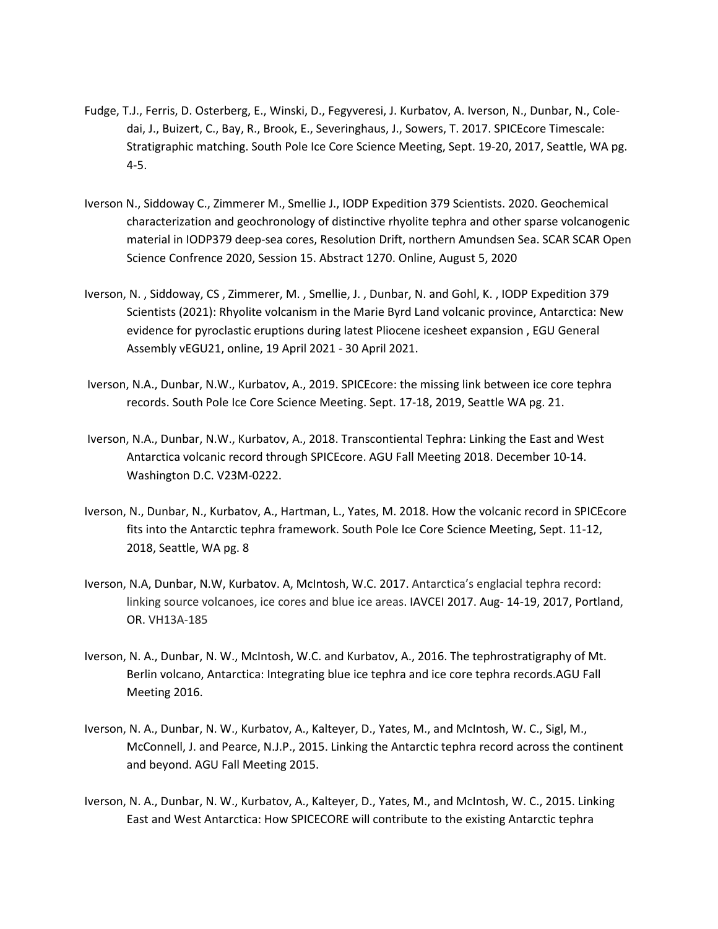- Fudge, T.J., Ferris, D. Osterberg, E., Winski, D., Fegyveresi, J. Kurbatov, A. Iverson, N., Dunbar, N., Coledai, J., Buizert, C., Bay, R., Brook, E., Severinghaus, J., Sowers, T. 2017. SPICEcore Timescale: Stratigraphic matching. South Pole Ice Core Science Meeting, Sept. 19-20, 2017, Seattle, WA pg. 4-5.
- Iverson N., Siddoway C., Zimmerer M., Smellie J., IODP Expedition 379 Scientists. 2020. Geochemical characterization and geochronology of distinctive rhyolite tephra and other sparse volcanogenic material in IODP379 deep-sea cores, Resolution Drift, northern Amundsen Sea. SCAR SCAR Open Science Confrence 2020, Session 15. Abstract 1270. Online, August 5, 2020
- Iverson, N. , Siddoway, CS , Zimmerer, M. , Smellie, J. , Dunbar, N. and Gohl, K. , IODP Expedition 379 Scientists (2021): Rhyolite volcanism in the Marie Byrd Land volcanic province, Antarctica: New evidence for pyroclastic eruptions during latest Pliocene icesheet expansion , EGU General Assembly vEGU21, online, 19 April 2021 - 30 April 2021.
- Iverson, N.A., Dunbar, N.W., Kurbatov, A., 2019. SPICEcore: the missing link between ice core tephra records. South Pole Ice Core Science Meeting. Sept. 17-18, 2019, Seattle WA pg. 21.
- Iverson, N.A., Dunbar, N.W., Kurbatov, A., 2018. Transcontiental Tephra: Linking the East and West Antarctica volcanic record through SPICEcore. AGU Fall Meeting 2018. December 10-14. Washington D.C. V23M-0222.
- Iverson, N., Dunbar, N., Kurbatov, A., Hartman, L., Yates, M. 2018. How the volcanic record in SPICEcore fits into the Antarctic tephra framework. South Pole Ice Core Science Meeting, Sept. 11-12, 2018, Seattle, WA pg. 8
- Iverson, N.A, Dunbar, N.W, Kurbatov. A, McIntosh, W.C. 2017. Antarctica's englacial tephra record: linking source volcanoes, ice cores and blue ice areas. IAVCEI 2017. Aug- 14-19, 2017, Portland, OR. VH13A-185
- Iverson, N. A., Dunbar, N. W., McIntosh, W.C. and Kurbatov, A., 2016. The tephrostratigraphy of Mt. Berlin volcano, Antarctica: Integrating blue ice tephra and ice core tephra records.AGU Fall Meeting 2016.
- Iverson, N. A., Dunbar, N. W., Kurbatov, A., Kalteyer, D., Yates, M., and McIntosh, W. C., Sigl, M., McConnell, J. and Pearce, N.J.P., 2015. Linking the Antarctic tephra record across the continent and beyond. AGU Fall Meeting 2015.
- Iverson, N. A., Dunbar, N. W., Kurbatov, A., Kalteyer, D., Yates, M., and McIntosh, W. C., 2015. Linking East and West Antarctica: How SPICECORE will contribute to the existing Antarctic tephra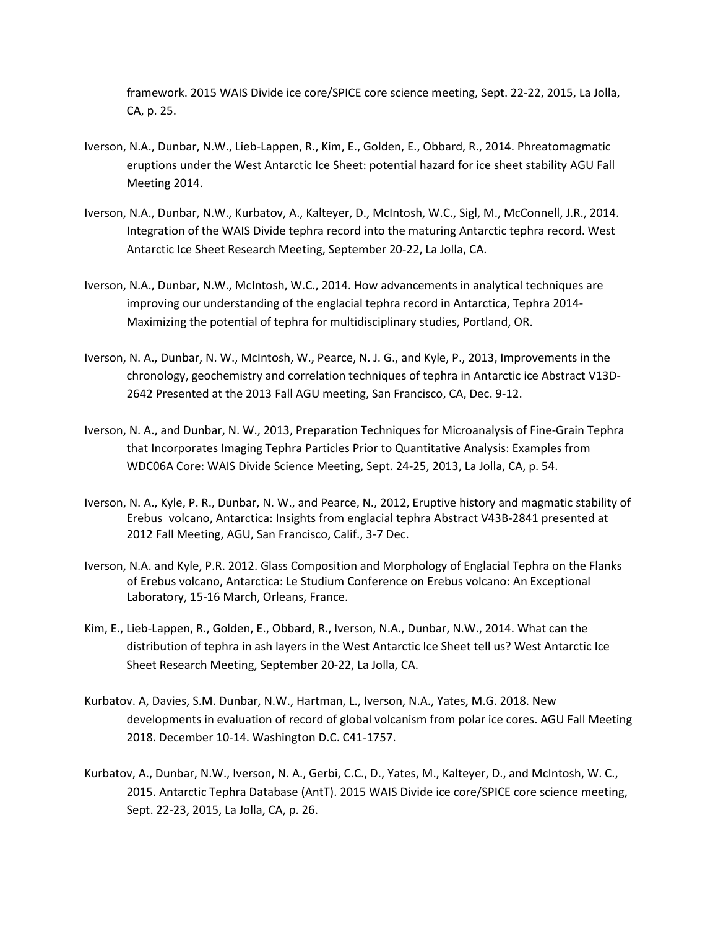framework. 2015 WAIS Divide ice core/SPICE core science meeting, Sept. 22-22, 2015, La Jolla, CA, p. 25.

- Iverson, N.A., Dunbar, N.W., Lieb-Lappen, R., Kim, E., Golden, E., Obbard, R., 2014. Phreatomagmatic eruptions under the West Antarctic Ice Sheet: potential hazard for ice sheet stability AGU Fall Meeting 2014.
- Iverson, N.A., Dunbar, N.W., Kurbatov, A., Kalteyer, D., McIntosh, W.C., Sigl, M., McConnell, J.R., 2014. Integration of the WAIS Divide tephra record into the maturing Antarctic tephra record. West Antarctic Ice Sheet Research Meeting, September 20-22, La Jolla, CA.
- Iverson, N.A., Dunbar, N.W., McIntosh, W.C., 2014. How advancements in analytical techniques are improving our understanding of the englacial tephra record in Antarctica, Tephra 2014- Maximizing the potential of tephra for multidisciplinary studies, Portland, OR.
- Iverson, N. A., Dunbar, N. W., McIntosh, W., Pearce, N. J. G., and Kyle, P., 2013, Improvements in the chronology, geochemistry and correlation techniques of tephra in Antarctic ice Abstract V13D-2642 Presented at the 2013 Fall AGU meeting, San Francisco, CA, Dec. 9-12.
- Iverson, N. A., and Dunbar, N. W., 2013, Preparation Techniques for Microanalysis of Fine-Grain Tephra that Incorporates Imaging Tephra Particles Prior to Quantitative Analysis: Examples from WDC06A Core: WAIS Divide Science Meeting, Sept. 24-25, 2013, La Jolla, CA, p. 54.
- Iverson, N. A., Kyle, P. R., Dunbar, N. W., and Pearce, N., 2012, Eruptive history and magmatic stability of Erebus volcano, Antarctica: Insights from englacial tephra Abstract V43B-2841 presented at 2012 Fall Meeting, AGU, San Francisco, Calif., 3-7 Dec.
- Iverson, N.A. and Kyle, P.R. 2012. Glass Composition and Morphology of Englacial Tephra on the Flanks of Erebus volcano, Antarctica: Le Studium Conference on Erebus volcano: An Exceptional Laboratory, 15-16 March, Orleans, France.
- Kim, E., Lieb-Lappen, R., Golden, E., Obbard, R., Iverson, N.A., Dunbar, N.W., 2014. What can the distribution of tephra in ash layers in the West Antarctic Ice Sheet tell us? West Antarctic Ice Sheet Research Meeting, September 20-22, La Jolla, CA.
- Kurbatov. A, Davies, S.M. Dunbar, N.W., Hartman, L., Iverson, N.A., Yates, M.G. 2018. New developments in evaluation of record of global volcanism from polar ice cores. AGU Fall Meeting 2018. December 10-14. Washington D.C. C41-1757.
- Kurbatov, A., Dunbar, N.W., Iverson, N. A., Gerbi, C.C., D., Yates, M., Kalteyer, D., and McIntosh, W. C., 2015. Antarctic Tephra Database (AntT). 2015 WAIS Divide ice core/SPICE core science meeting, Sept. 22-23, 2015, La Jolla, CA, p. 26.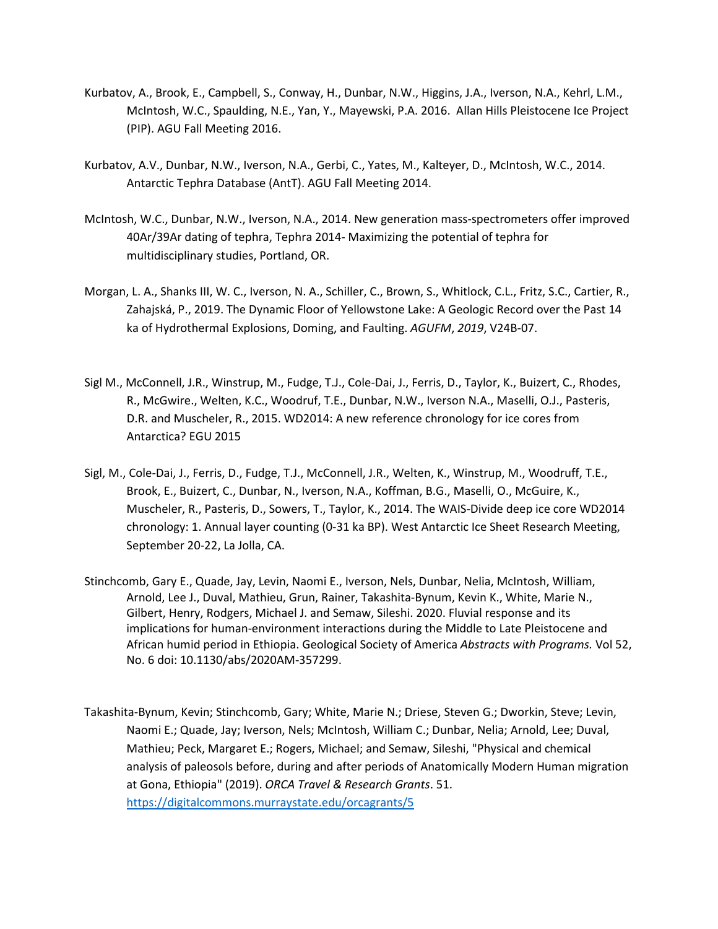- Kurbatov, A., Brook, E., Campbell, S., Conway, H., Dunbar, N.W., Higgins, J.A., Iverson, N.A., Kehrl, L.M., McIntosh, W.C., Spaulding, N.E., Yan, Y., Mayewski, P.A. 2016. Allan Hills Pleistocene Ice Project (PIP). AGU Fall Meeting 2016.
- Kurbatov, A.V., Dunbar, N.W., Iverson, N.A., Gerbi, C., Yates, M., Kalteyer, D., McIntosh, W.C., 2014. Antarctic Tephra Database (AntT). AGU Fall Meeting 2014.
- McIntosh, W.C., Dunbar, N.W., Iverson, N.A., 2014. New generation mass-spectrometers offer improved 40Ar/39Ar dating of tephra, Tephra 2014- Maximizing the potential of tephra for multidisciplinary studies, Portland, OR.
- Morgan, L. A., Shanks III, W. C., Iverson, N. A., Schiller, C., Brown, S., Whitlock, C.L., Fritz, S.C., Cartier, R., Zahajská, P., 2019. The Dynamic Floor of Yellowstone Lake: A Geologic Record over the Past 14 ka of Hydrothermal Explosions, Doming, and Faulting. *AGUFM*, *2019*, V24B-07.
- Sigl M., McConnell, J.R., Winstrup, M., Fudge, T.J., Cole-Dai, J., Ferris, D., Taylor, K., Buizert, C., Rhodes, R., McGwire., Welten, K.C., Woodruf, T.E., Dunbar, N.W., Iverson N.A., Maselli, O.J., Pasteris, D.R. and Muscheler, R., 2015. WD2014: A new reference chronology for ice cores from Antarctica? EGU 2015
- Sigl, M., Cole-Dai, J., Ferris, D., Fudge, T.J., McConnell, J.R., Welten, K., Winstrup, M., Woodruff, T.E., Brook, E., Buizert, C., Dunbar, N., Iverson, N.A., Koffman, B.G., Maselli, O., McGuire, K., Muscheler, R., Pasteris, D., Sowers, T., Taylor, K., 2014. The WAIS-Divide deep ice core WD2014 chronology: 1. Annual layer counting (0-31 ka BP). West Antarctic Ice Sheet Research Meeting, September 20-22, La Jolla, CA.
- Stinchcomb, Gary E., Quade, Jay, Levin, Naomi E., Iverson, Nels, Dunbar, Nelia, McIntosh, William, Arnold, Lee J., Duval, Mathieu, Grun, Rainer, Takashita-Bynum, Kevin K., White, Marie N., Gilbert, Henry, Rodgers, Michael J. and Semaw, Sileshi. 2020. Fluvial response and its implications for human-environment interactions during the Middle to Late Pleistocene and African humid period in Ethiopia. Geological Society of America *Abstracts with Programs.* Vol 52, No. 6 doi: 10.1130/abs/2020AM-357299.
- Takashita-Bynum, Kevin; Stinchcomb, Gary; White, Marie N.; Driese, Steven G.; Dworkin, Steve; Levin, Naomi E.; Quade, Jay; Iverson, Nels; McIntosh, William C.; Dunbar, Nelia; Arnold, Lee; Duval, Mathieu; Peck, Margaret E.; Rogers, Michael; and Semaw, Sileshi, "Physical and chemical analysis of paleosols before, during and after periods of Anatomically Modern Human migration at Gona, Ethiopia" (2019). *ORCA Travel & Research Grants*. 51. <https://digitalcommons.murraystate.edu/orcagrants/5>